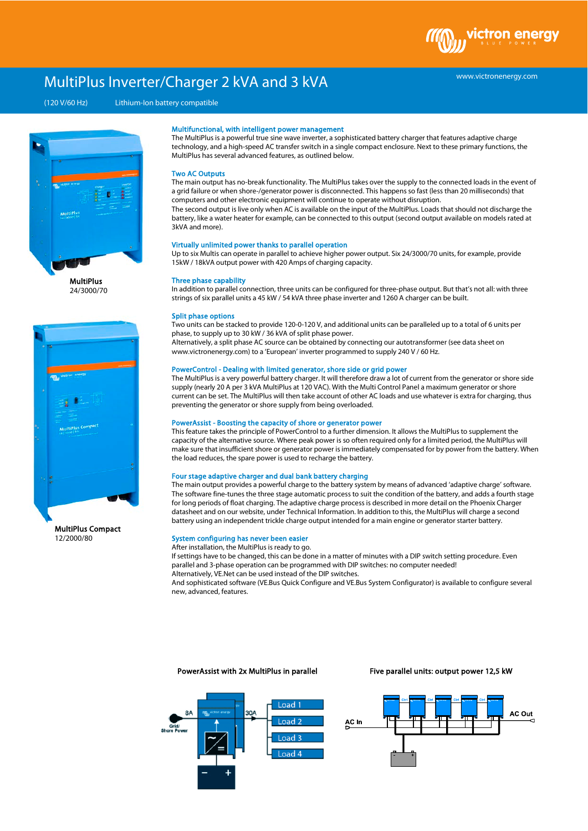# MultiPlus Inverter/Charger 2 kVA and 3 kVA

(120 V/60 Hz) Lithium-Ion battery compatible



24/3000/70



MultiPlus Compact 12/2000/80

#### Multifunctional, with intelligent power management

The MultiPlus is a powerful true sine wave inverter, a sophisticated battery charger that features adaptive charge technology, and a high-speed AC transfer switch in a single compact enclosure. Next to these primary functions, the MultiPlus has several advanced features, as outlined below.

#### Two AC Outputs

The main output has no-break functionality. The MultiPlus takes over the supply to the connected loads in the event of a grid failure or when shore-/generator power is disconnected. This happens so fast (less than 20 milliseconds) that computers and other electronic equipment will continue to operate without disruption. The second output is live only when AC is available on the input of the MultiPlus. Loads that should not discharge the battery, like a water heater for example, can be connected to this output (second output available on models rated at 3kVA and more).

### Virtually unlimited power thanks to parallel operation

Up to six Multis can operate in parallel to achieve higher power output. Six 24/3000/70 units, for example, provide 15kW / 18kVA output power with 420 Amps of charging capacity.

#### Three phase capability

In addition to parallel connection, three units can be configured for three-phase output. But that's not all: with three strings of six parallel units a 45 kW / 54 kVA three phase inverter and 1260 A charger can be built.

#### Split phase options

Two units can be stacked to provide 120-0-120 V, and additional units can be paralleled up to a total of 6 units per phase, to supply up to 30 kW / 36 kVA of split phase power.

Alternatively, a split phase AC source can be obtained by connecting our autotransformer (see data sheet on www.victronenergy.com) to a 'European' inverter programmed to supply 240 V / 60 Hz.

# PowerControl - Dealing with limited generator, shore side or grid power

The MultiPlus is a very powerful battery charger. It will therefore draw a lot of current from the generator or shore side supply (nearly 20 A per 3 kVA MultiPlus at 120 VAC). With the Multi Control Panel a maximum generator or shore current can be set. The MultiPlus will then take account of other AC loads and use whatever is extra for charging, thus preventing the generator or shore supply from being overloaded.

#### PowerAssist - Boosting the capacity of shore or generator power

This feature takes the principle of PowerControl to a further dimension. It allows the MultiPlus to supplement the capacity of the alternative source. Where peak power is so often required only for a limited period, the MultiPlus will make sure that insufficient shore or generator power is immediately compensated for by power from the battery. When the load reduces, the spare power is used to recharge the battery.

# Four stage adaptive charger and dual bank battery charging

The main output provides a powerful charge to the battery system by means of advanced 'adaptive charge' software. The software fine-tunes the three stage automatic process to suit the condition of the battery, and adds a fourth stage for long periods of float charging. The adaptive charge process is described in more detail on the Phoenix Charger datasheet and on our website, under Technical Information. In addition to this, the MultiPlus will charge a second battery using an independent trickle charge output intended for a main engine or generator starter battery.

#### System configuring has never been easier

After installation, the MultiPlus is ready to go.

If settings have to be changed, this can be done in a matter of minutes with a DIP switch setting procedure. Even parallel and 3-phase operation can be programmed with DIP switches: no computer needed! Alternatively, VE.Net can be used instead of the DIP switches.

And sophisticated software (VE.Bus Quick Configure and VE.Bus System Configurator) is available to configure several new, advanced, features.

#### PowerAssist with 2x MultiPlus in parallel

Five parallel units: output power 12,5 kW